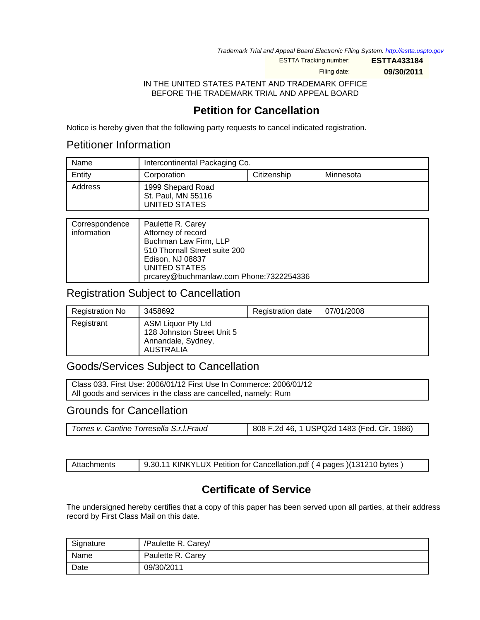Trademark Trial and Appeal Board Electronic Filing System. <http://estta.uspto.gov>

ESTTA Tracking number: **ESTTA433184**

Filing date: **09/30/2011**

IN THE UNITED STATES PATENT AND TRADEMARK OFFICE BEFORE THE TRADEMARK TRIAL AND APPEAL BOARD

# **Petition for Cancellation**

Notice is hereby given that the following party requests to cancel indicated registration.

## Petitioner Information

| Name    | Intercontinental Packaging Co.                           |  |  |
|---------|----------------------------------------------------------|--|--|
| Entity  | Citizenship<br>Corporation<br>Minnesota                  |  |  |
| Address | 1999 Shepard Road<br>St. Paul, MN 55116<br>UNITED STATES |  |  |

| Correspondence<br>information | Paulette R. Carey<br>Attorney of record<br>Buchman Law Firm, LLP<br>510 Thornall Street suite 200 |
|-------------------------------|---------------------------------------------------------------------------------------------------|
|                               | Edison, NJ 08837<br>UNITED STATES<br>prcarey@buchmanlaw.com Phone:7322254336                      |

## Registration Subject to Cancellation

| Registration No | 3458692                                                                             | <b>Registration date</b> | 07/01/2008 |
|-----------------|-------------------------------------------------------------------------------------|--------------------------|------------|
| Registrant      | ASM Liquor Pty Ltd<br>128 Johnston Street Unit 5<br>Annandale, Sydney,<br>AUSTRALIA |                          |            |

## Goods/Services Subject to Cancellation

Class 033. First Use: 2006/01/12 First Use In Commerce: 2006/01/12 All goods and services in the class are cancelled, namely: Rum

## Grounds for Cancellation

|--|

| Attachments | 9.30.11 KINKYLUX Petition for Cancellation.pdf (4 pages) (131210 bytes) |
|-------------|-------------------------------------------------------------------------|
|-------------|-------------------------------------------------------------------------|

# **Certificate of Service**

The undersigned hereby certifies that a copy of this paper has been served upon all parties, at their address record by First Class Mail on this date.

| Signature | /Paulette R. Carey/ |
|-----------|---------------------|
| Name      | Paulette R. Carey   |
| Date      | 09/30/2011          |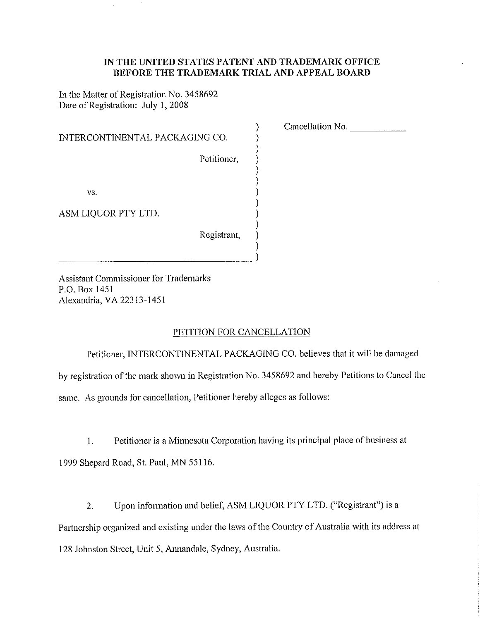#### IN THE UNITED STATES PATENT AND TRADEMARK OFFICE BEFORE THE TRADEMARK TRIAL AND APPEAL BOARD

 $\mathcal{Y}$  $\mathcal{Y}$  $\mathcal{E}$  $\mathcal{E}$ 

In the Matter of Registration No. 3458692 Date of Registration: July 1, 2008

| INTERCONTINENTAL PACKAGING CO. |             |
|--------------------------------|-------------|
|                                | Petitioner, |
|                                |             |
| VS.                            |             |
| ASM LIQUOR PTY LTD.            |             |
|                                | Registrant, |

Cancellation No.

**Assistant Commissioner for Trademarks** P.O. Box 1451 Alexandria, VA 22313-1451

#### PETITION FOR CANCELLATION

Petitioner, INTERCONTINENTAL PACKAGING CO. believes that it will be damaged by registration of the mark shown in Registration No. 3458692 and hereby Petitions to Cancel the same. As grounds for cancellation, Petitioner hereby alleges as follows:

Petitioner is a Minnesota Corporation having its principal place of business at  $1<sub>1</sub>$ 1999 Shepard Road, St. Paul, MN 55116.

Upon information and belief, ASM LIQUOR PTY LTD. ("Registrant") is a  $\overline{2}$ . Partnership organized and existing under the laws of the Country of Australia with its address at 128 Johnston Street, Unit 5, Annandale, Sydney, Australia.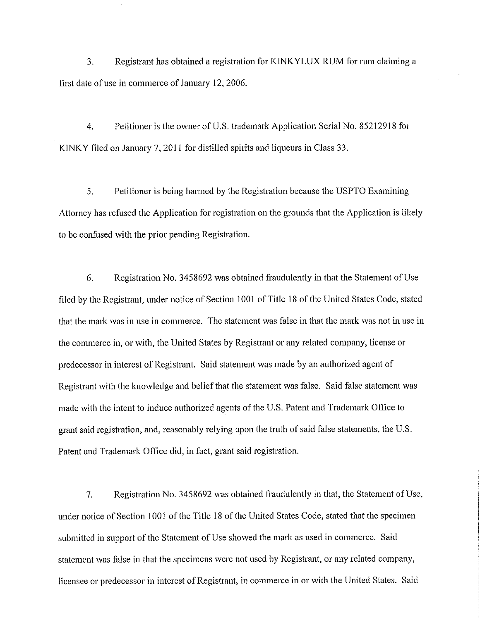3. Registrant has obtained a registration for KINKYLUX RUM for rum claiming a first date of use in commerce of January 12, 2006.

4. Petitioner is the owner of U.S. trademark Application Serial No. 85212918 for KINKY filed on January 7, 2011 for distilled spirits and liqueurs in Class 33.

5. Petitioner is being harmed by the Registration because the USPTO Examining Attorney has refused the Application for registration on the grounds that the Application is likely to be confused with the prior pending Registration.

6. Registration No. 3458692 was obtained fraudulently in that the Statement of Use filed by the Registrant, under notice of Section 1001 of Title 18 of the United States Code, stated that the mark was in use in commerce. The statement was false in that the mark was not in use in the commerce in, or with, the United States by Registrant or any related company, license or predecessor in interest of Registrant. Said statement was made by an authorized agent of Registrant with the knowledge and belief that the statement was false. Said false statement was made with the intent to induce authorized agents of the U.S. Patent and Trademark Office to grant said registration, and, reasonably relying upon the truth of said false statements, the U.S. Patent and Trademark Office did, in fact, grant said registration.

Registration No. 3458692 was obtained fraudulently in that, the Statement of Use, 7. under notice of Section 1001 of the Title 18 of the United States Code, stated that the specimen submitted in support of the Statement of Use showed the mark as used in commerce. Said statement was false in that the specimens were not used by Registrant, or any related company, licensee or predecessor in interest of Registrant, in commerce in or with the United States. Said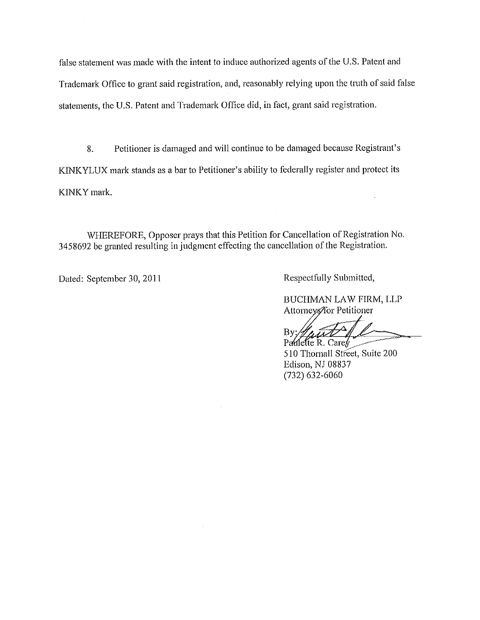false statement was made with the intent to induce authorized agents of the U.S. Patent and Trademark Office to grant said registration, and, reasonably relying upon the truth of said false statements, the U.S. Patent and Trademark Office did, in fact, grant said registration.

Petitioner is damaged and will continue to be damaged because Registrant's 8. KINKYLUX mark stands as a bar to Petitioner's ability to federally register and protect its KINKY mark.

WHEREFORE, Opposer prays that this Petition for Cancellation of Registration No. 3458692 be granted resulting in judgment effecting the cancellation of the Registration.

Dated: September 30, 2011

Respectfully Submitted,

BUCHMAN LAW FIRM, LLP Attorneys/for Petitioner

By. Parifette R. Carey

510 Thornall Street, Suite 200 Edison, NJ 08837  $(732)$  632-6060